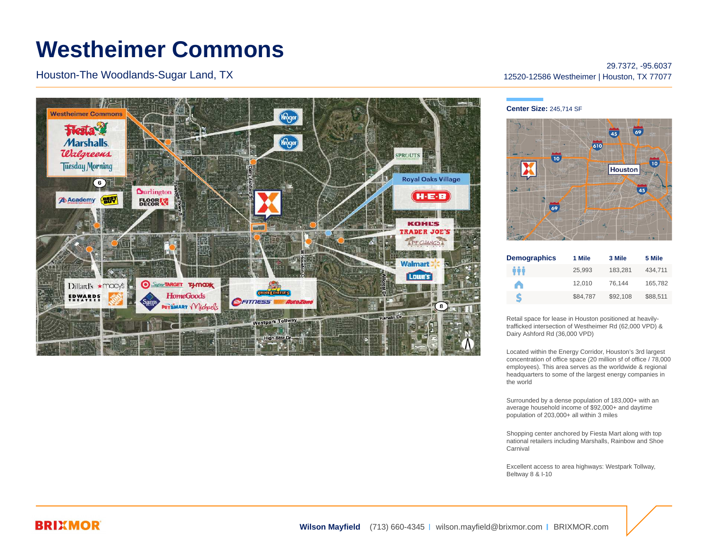# **Westheimer Commons**

Houston-The Woodlands-Sugar Land, TX



## 29.7372, -95.6037 12520-12586 Westheimer | Houston, TX 77077

#### **Center Size:** 245,714 SF



| <b>Demographics</b> | 1 Mile   | 3 Mile   | 5 Mile   |
|---------------------|----------|----------|----------|
| ÷÷                  | 25.993   | 183.281  | 434.711  |
| A                   | 12.010   | 76.144   | 165,782  |
| S                   | \$84.787 | \$92.108 | \$88.511 |

Retail space for lease in Houston positioned at heavilytrafficked intersection of Westheimer Rd (62,000 VPD) & Dairy Ashford Rd (36,000 VPD)

Located within the Energy Corridor, Houston's 3rd largest concentration of office space (20 million sf of office / 78,000 employees). This area serves as the worldwide & regional headquarters to some of the largest energy companies in the world

Surrounded by a dense population of 183,000+ with an average household income of \$92,000+ and daytime population of 203,000+ all within 3 miles

Shopping center anchored by Fiesta Mart along with top national retailers including Marshalls, Rainbow and Shoe Carnival

Excellent access to area highways: Westpark Tollway, Beltway 8 & I-10

## **BRIXMOR**